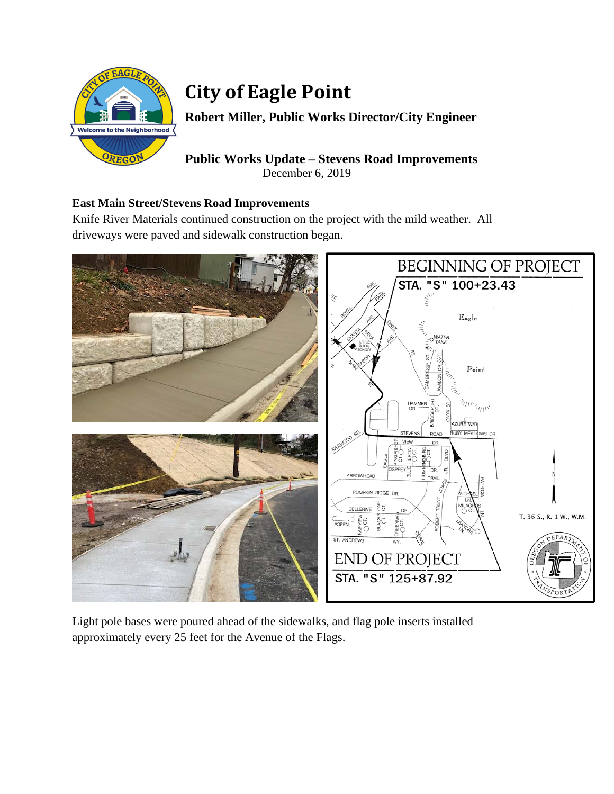

## **City of Eagle Point**

**Robert Miller, Public Works Director/City Engineer** 

**Public Works Update – Stevens Road Improvements**  December 6, 2019

## **East Main Street/Stevens Road Improvements**

Knife River Materials continued construction on the project with the mild weather. All driveways were paved and sidewalk construction began.



Light pole bases were poured ahead of the sidewalks, and flag pole inserts installed approximately every 25 feet for the Avenue of the Flags.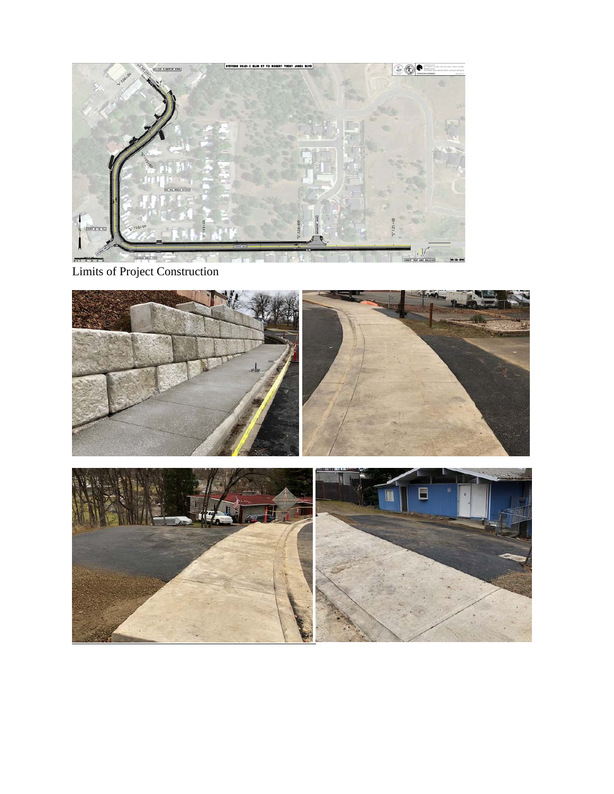

Limits of Project Construction